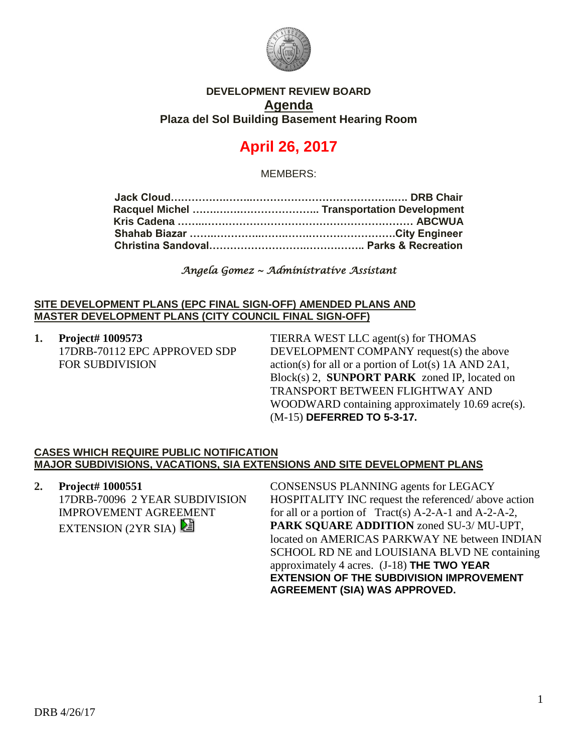

## **DEVELOPMENT REVIEW BOARD Agenda Plaza del Sol Building Basement Hearing Room**

# **April 26, 2017**

MEMBERS:

*Angela Gomez ~ Administrative Assistant* 

#### **SITE DEVELOPMENT PLANS (EPC FINAL SIGN-OFF) AMENDED PLANS AND MASTER DEVELOPMENT PLANS (CITY COUNCIL FINAL SIGN-OFF)**

**1. Project# 1009573** 17DRB-70112 EPC APPROVED SDP FOR SUBDIVISION

TIERRA WEST LLC agent(s) for THOMAS DEVELOPMENT COMPANY request(s) the above action(s) for all or a portion of Lot(s) 1A AND 2A1, Block(s) 2, **SUNPORT PARK** zoned IP, located on TRANSPORT BETWEEN FLIGHTWAY AND WOODWARD containing approximately 10.69 acre(s). (M-15) **DEFERRED TO 5-3-17.**

### **CASES WHICH REQUIRE PUBLIC NOTIFICATION MAJOR SUBDIVISIONS, VACATIONS, SIA EXTENSIONS AND SITE DEVELOPMENT PLANS**

**2. Project# 1000551** 17DRB-70096 2 YEAR SUBDIVISION IMPROVEMENT AGREEMENT EXTENSION (2YR SIA)

CONSENSUS PLANNING agents for LEGACY HOSPITALITY INC request the referenced/ above action for all or a portion of Tract(s) A-2-A-1 and A-2-A-2, **PARK SQUARE ADDITION** zoned SU-3/ MU-UPT, located on AMERICAS PARKWAY NE between INDIAN SCHOOL RD NE and LOUISIANA BLVD NE containing approximately 4 acres. (J-18) **THE TWO YEAR EXTENSION OF THE SUBDIVISION IMPROVEMENT AGREEMENT (SIA) WAS APPROVED.**